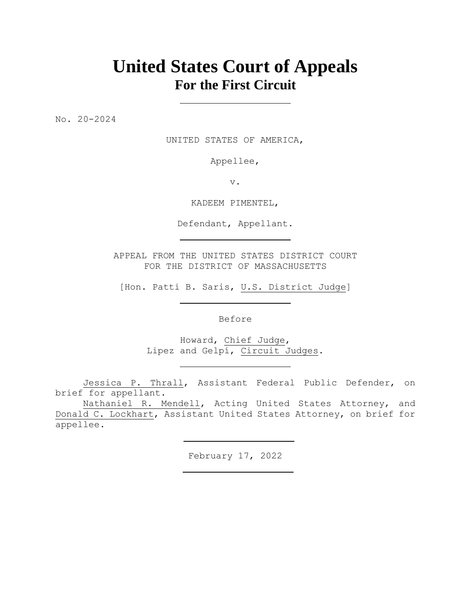# **United States Court of Appeals For the First Circuit**

No. 20-2024

UNITED STATES OF AMERICA,

Appellee,

v.

KADEEM PIMENTEL,

Defendant, Appellant.

APPEAL FROM THE UNITED STATES DISTRICT COURT FOR THE DISTRICT OF MASSACHUSETTS

[Hon. Patti B. Saris, U.S. District Judge]

Before

Howard, Chief Judge, Lipez and Gelpí, Circuit Judges.

Jessica P. Thrall, Assistant Federal Public Defender, on brief for appellant.

Nathaniel R. Mendell, Acting United States Attorney, and Donald C. Lockhart, Assistant United States Attorney, on brief for appellee.

February 17, 2022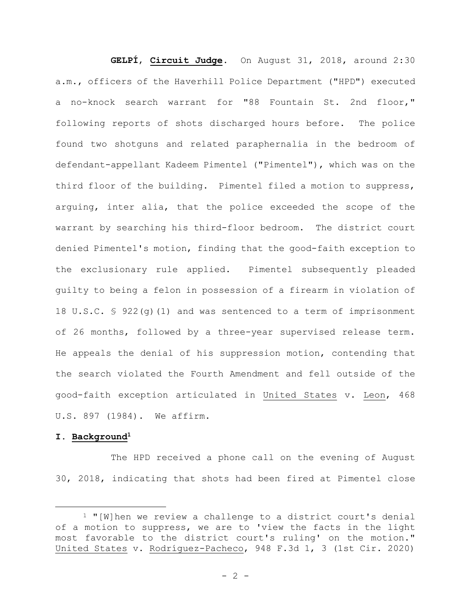**GELPÍ**, **Circuit Judge**. On August 31, 2018, around 2:30 a.m., officers of the Haverhill Police Department ("HPD") executed a no-knock search warrant for "88 Fountain St. 2nd floor," following reports of shots discharged hours before. The police found two shotguns and related paraphernalia in the bedroom of defendant-appellant Kadeem Pimentel ("Pimentel"), which was on the third floor of the building. Pimentel filed a motion to suppress, arguing, inter alia, that the police exceeded the scope of the warrant by searching his third-floor bedroom. The district court denied Pimentel's motion, finding that the good-faith exception to the exclusionary rule applied. Pimentel subsequently pleaded guilty to being a felon in possession of a firearm in violation of 18 U.S.C. § 922(g)(1) and was sentenced to a term of imprisonment of 26 months, followed by a three-year supervised release term. He appeals the denial of his suppression motion, contending that the search violated the Fourth Amendment and fell outside of the good-faith exception articulated in United States v. Leon, 468 U.S. 897 (1984). We affirm.

#### **I. Background<sup>1</sup>**

The HPD received a phone call on the evening of August 30, 2018, indicating that shots had been fired at Pimentel close

<sup>1</sup> "[W]hen we review a challenge to a district court's denial of a motion to suppress, we are to 'view the facts in the light most favorable to the district court's ruling' on the motion." United States v. Rodríguez-Pacheco, 948 F.3d 1, 3 (1st Cir. 2020)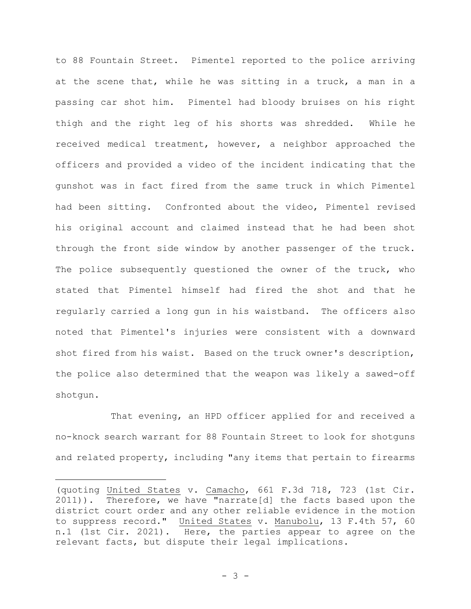to 88 Fountain Street. Pimentel reported to the police arriving at the scene that, while he was sitting in a truck, a man in a passing car shot him. Pimentel had bloody bruises on his right thigh and the right leg of his shorts was shredded. While he received medical treatment, however, a neighbor approached the officers and provided a video of the incident indicating that the gunshot was in fact fired from the same truck in which Pimentel had been sitting. Confronted about the video, Pimentel revised his original account and claimed instead that he had been shot through the front side window by another passenger of the truck. The police subsequently questioned the owner of the truck, who stated that Pimentel himself had fired the shot and that he regularly carried a long gun in his waistband. The officers also noted that Pimentel's injuries were consistent with a downward shot fired from his waist. Based on the truck owner's description, the police also determined that the weapon was likely a sawed-off shotgun.

That evening, an HPD officer applied for and received a no-knock search warrant for 88 Fountain Street to look for shotguns and related property, including "any items that pertain to firearms

<sup>(</sup>quoting United States v. Camacho, 661 F.3d 718, 723 (1st Cir. 2011)). Therefore, we have "narrate[d] the facts based upon the district court order and any other reliable evidence in the motion to suppress record." United States v. Manubolu, 13 F.4th 57, 60 n.1 (1st Cir. 2021). Here, the parties appear to agree on the relevant facts, but dispute their legal implications.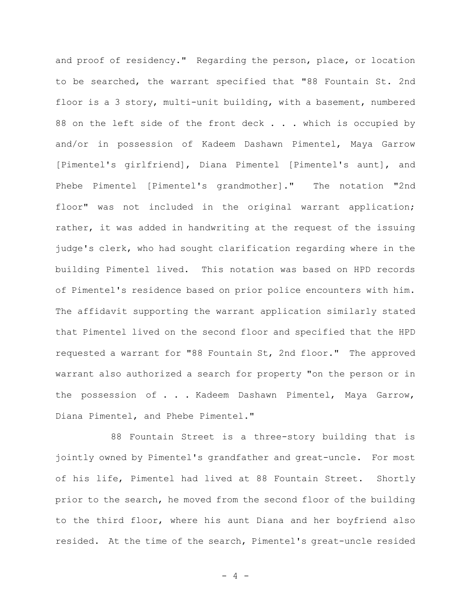and proof of residency." Regarding the person, place, or location to be searched, the warrant specified that "88 Fountain St. 2nd floor is a 3 story, multi-unit building, with a basement, numbered 88 on the left side of the front deck . . . which is occupied by and/or in possession of Kadeem Dashawn Pimentel, Maya Garrow [Pimentel's girlfriend], Diana Pimentel [Pimentel's aunt], and Phebe Pimentel [Pimentel's grandmother]." The notation "2nd floor" was not included in the original warrant application; rather, it was added in handwriting at the request of the issuing judge's clerk, who had sought clarification regarding where in the building Pimentel lived. This notation was based on HPD records of Pimentel's residence based on prior police encounters with him. The affidavit supporting the warrant application similarly stated that Pimentel lived on the second floor and specified that the HPD requested a warrant for "88 Fountain St, 2nd floor." The approved warrant also authorized a search for property "on the person or in the possession of . . . Kadeem Dashawn Pimentel, Maya Garrow, Diana Pimentel, and Phebe Pimentel."

88 Fountain Street is a three-story building that is jointly owned by Pimentel's grandfather and great-uncle. For most of his life, Pimentel had lived at 88 Fountain Street. Shortly prior to the search, he moved from the second floor of the building to the third floor, where his aunt Diana and her boyfriend also resided. At the time of the search, Pimentel's great-uncle resided

- 4 -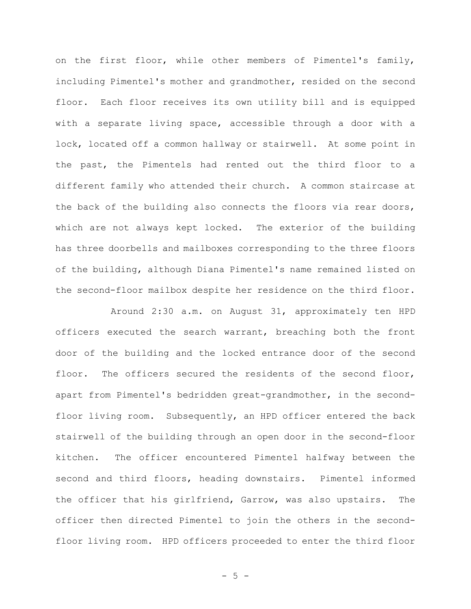on the first floor, while other members of Pimentel's family, including Pimentel's mother and grandmother, resided on the second floor. Each floor receives its own utility bill and is equipped with a separate living space, accessible through a door with a lock, located off a common hallway or stairwell. At some point in the past, the Pimentels had rented out the third floor to a different family who attended their church. A common staircase at the back of the building also connects the floors via rear doors, which are not always kept locked. The exterior of the building has three doorbells and mailboxes corresponding to the three floors of the building, although Diana Pimentel's name remained listed on the second-floor mailbox despite her residence on the third floor.

Around 2:30 a.m. on August 31, approximately ten HPD officers executed the search warrant, breaching both the front door of the building and the locked entrance door of the second floor. The officers secured the residents of the second floor, apart from Pimentel's bedridden great-grandmother, in the secondfloor living room. Subsequently, an HPD officer entered the back stairwell of the building through an open door in the second-floor kitchen. The officer encountered Pimentel halfway between the second and third floors, heading downstairs. Pimentel informed the officer that his girlfriend, Garrow, was also upstairs. The officer then directed Pimentel to join the others in the secondfloor living room. HPD officers proceeded to enter the third floor

- 5 -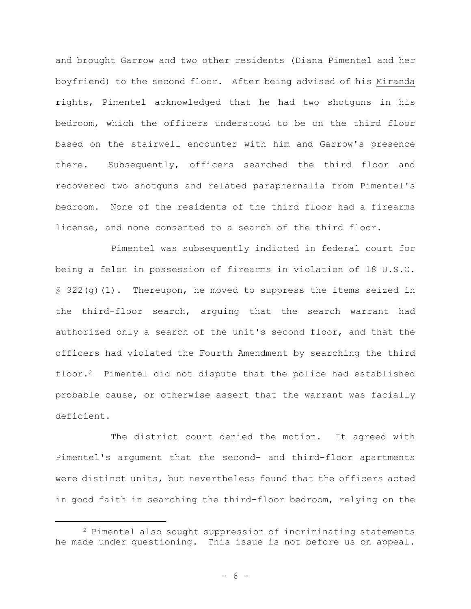and brought Garrow and two other residents (Diana Pimentel and her boyfriend) to the second floor. After being advised of his Miranda rights, Pimentel acknowledged that he had two shotguns in his bedroom, which the officers understood to be on the third floor based on the stairwell encounter with him and Garrow's presence there. Subsequently, officers searched the third floor and recovered two shotguns and related paraphernalia from Pimentel's bedroom. None of the residents of the third floor had a firearms license, and none consented to a search of the third floor.

Pimentel was subsequently indicted in federal court for being a felon in possession of firearms in violation of 18 U.S.C. § 922(g)(1). Thereupon, he moved to suppress the items seized in the third-floor search, arguing that the search warrant had authorized only a search of the unit's second floor, and that the officers had violated the Fourth Amendment by searching the third floor.2 Pimentel did not dispute that the police had established probable cause, or otherwise assert that the warrant was facially deficient.

The district court denied the motion. It agreed with Pimentel's argument that the second- and third-floor apartments were distinct units, but nevertheless found that the officers acted in good faith in searching the third-floor bedroom, relying on the

<sup>2</sup> Pimentel also sought suppression of incriminating statements he made under questioning. This issue is not before us on appeal.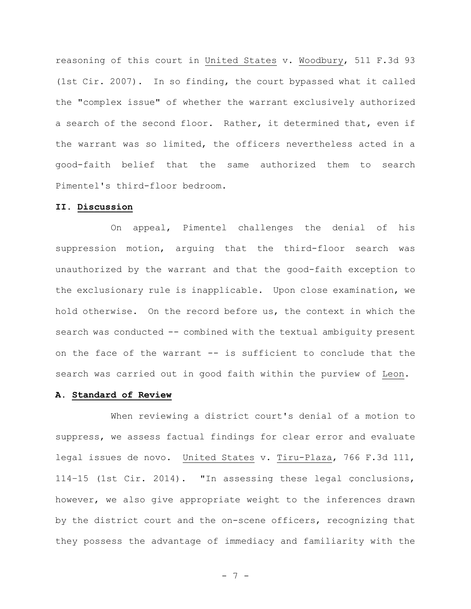reasoning of this court in United States v. Woodbury, 511 F.3d 93 (1st Cir. 2007). In so finding, the court bypassed what it called the "complex issue" of whether the warrant exclusively authorized a search of the second floor. Rather, it determined that, even if the warrant was so limited, the officers nevertheless acted in a good-faith belief that the same authorized them to search Pimentel's third-floor bedroom.

#### **II. Discussion**

On appeal, Pimentel challenges the denial of his suppression motion, arguing that the third-floor search was unauthorized by the warrant and that the good-faith exception to the exclusionary rule is inapplicable. Upon close examination, we hold otherwise. On the record before us, the context in which the search was conducted -- combined with the textual ambiguity present on the face of the warrant -- is sufficient to conclude that the search was carried out in good faith within the purview of Leon.

### **A. Standard of Review**

When reviewing a district court's denial of a motion to suppress, we assess factual findings for clear error and evaluate legal issues de novo. United States v. Tiru-Plaza, 766 F.3d 111, 114–15 (1st Cir. 2014). "In assessing these legal conclusions, however, we also give appropriate weight to the inferences drawn by the district court and the on-scene officers, recognizing that they possess the advantage of immediacy and familiarity with the

- 7 -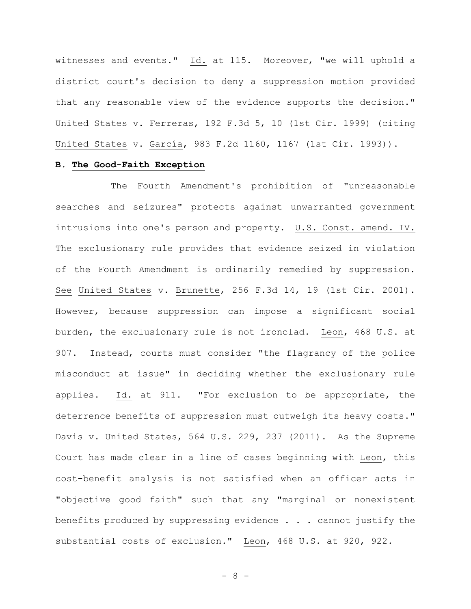witnesses and events." Id. at 115. Moreover, "we will uphold a district court's decision to deny a suppression motion provided that any reasonable view of the evidence supports the decision." United States v. Ferreras, 192 F.3d 5, 10 (1st Cir. 1999) (citing United States v. García, 983 F.2d 1160, 1167 (1st Cir. 1993)).

#### **B. The Good-Faith Exception**

The Fourth Amendment's prohibition of "unreasonable searches and seizures" protects against unwarranted government intrusions into one's person and property. U.S. Const. amend. IV. The exclusionary rule provides that evidence seized in violation of the Fourth Amendment is ordinarily remedied by suppression. See United States v. Brunette, 256 F.3d 14, 19 (1st Cir. 2001). However, because suppression can impose a significant social burden, the exclusionary rule is not ironclad. Leon, 468 U.S. at 907. Instead, courts must consider "the flagrancy of the police misconduct at issue" in deciding whether the exclusionary rule applies. Id. at 911. "For exclusion to be appropriate, the deterrence benefits of suppression must outweigh its heavy costs." Davis v. United States, 564 U.S. 229, 237 (2011). As the Supreme Court has made clear in a line of cases beginning with Leon, this cost-benefit analysis is not satisfied when an officer acts in "objective good faith" such that any "marginal or nonexistent benefits produced by suppressing evidence . . . cannot justify the substantial costs of exclusion." Leon, 468 U.S. at 920, 922.

- 8 -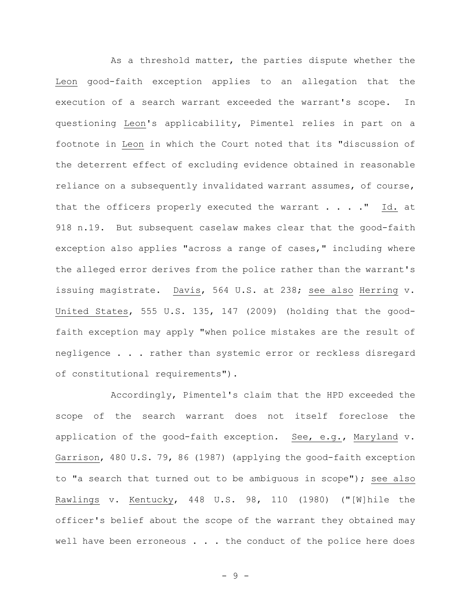As a threshold matter, the parties dispute whether the Leon good-faith exception applies to an allegation that the execution of a search warrant exceeded the warrant's scope. In questioning Leon's applicability, Pimentel relies in part on a footnote in Leon in which the Court noted that its "discussion of the deterrent effect of excluding evidence obtained in reasonable reliance on a subsequently invalidated warrant assumes, of course, that the officers properly executed the warrant . . . . " Id. at 918 n.19. But subsequent caselaw makes clear that the good-faith exception also applies "across a range of cases," including where the alleged error derives from the police rather than the warrant's issuing magistrate. Davis, 564 U.S. at 238; see also Herring v. United States, 555 U.S. 135, 147 (2009) (holding that the goodfaith exception may apply "when police mistakes are the result of negligence . . . rather than systemic error or reckless disregard of constitutional requirements").

Accordingly, Pimentel's claim that the HPD exceeded the scope of the search warrant does not itself foreclose the application of the good-faith exception. See, e.g., Maryland v. Garrison, 480 U.S. 79, 86 (1987) (applying the good-faith exception to "a search that turned out to be ambiguous in scope"); see also Rawlings v. Kentucky, 448 U.S. 98, 110 (1980) ("[W]hile the officer's belief about the scope of the warrant they obtained may well have been erroneous . . . the conduct of the police here does

- 9 -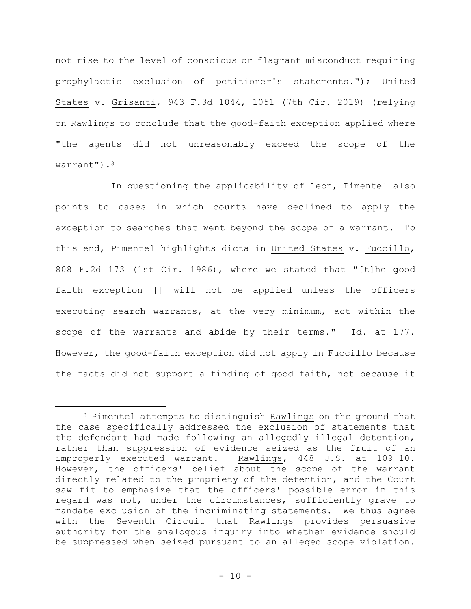not rise to the level of conscious or flagrant misconduct requiring prophylactic exclusion of petitioner's statements."); United States v. Grisanti, 943 F.3d 1044, 1051 (7th Cir. 2019) (relying on Rawlings to conclude that the good-faith exception applied where "the agents did not unreasonably exceed the scope of the warrant").<sup>3</sup>

In questioning the applicability of Leon, Pimentel also points to cases in which courts have declined to apply the exception to searches that went beyond the scope of a warrant. To this end, Pimentel highlights dicta in United States v. Fuccillo, 808 F.2d 173 (1st Cir. 1986), where we stated that "[t]he good faith exception [] will not be applied unless the officers executing search warrants, at the very minimum, act within the scope of the warrants and abide by their terms." Id. at 177. However, the good-faith exception did not apply in Fuccillo because the facts did not support a finding of good faith, not because it

<sup>&</sup>lt;sup>3</sup> Pimentel attempts to distinguish Rawlings on the ground that the case specifically addressed the exclusion of statements that the defendant had made following an allegedly illegal detention, rather than suppression of evidence seized as the fruit of an improperly executed warrant. Rawlings, 448 U.S. at 109–10. However, the officers' belief about the scope of the warrant directly related to the propriety of the detention, and the Court saw fit to emphasize that the officers' possible error in this regard was not, under the circumstances, sufficiently grave to mandate exclusion of the incriminating statements. We thus agree with the Seventh Circuit that Rawlings provides persuasive authority for the analogous inquiry into whether evidence should be suppressed when seized pursuant to an alleged scope violation.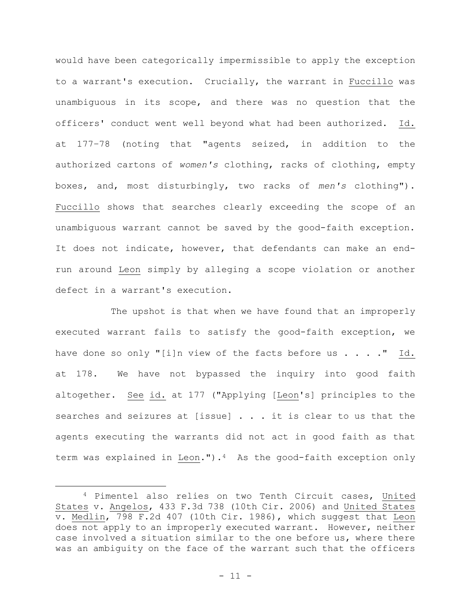would have been categorically impermissible to apply the exception to a warrant's execution. Crucially, the warrant in Fuccillo was unambiguous in its scope, and there was no question that the officers' conduct went well beyond what had been authorized. Id. at 177–78 (noting that "agents seized, in addition to the authorized cartons of *women's* clothing, racks of clothing, empty boxes, and, most disturbingly, two racks of *men's* clothing"). Fuccillo shows that searches clearly exceeding the scope of an unambiguous warrant cannot be saved by the good-faith exception. It does not indicate, however, that defendants can make an endrun around Leon simply by alleging a scope violation or another defect in a warrant's execution.

The upshot is that when we have found that an improperly executed warrant fails to satisfy the good-faith exception, we have done so only "[i]n view of the facts before us  $\ldots$  ..." Id. at 178. We have not bypassed the inquiry into good faith altogether. See id. at 177 ("Applying [Leon's] principles to the searches and seizures at [issue] . . . it is clear to us that the agents executing the warrants did not act in good faith as that term was explained in Leon."). $4$  As the good-faith exception only

<sup>4</sup> Pimentel also relies on two Tenth Circuit cases, United States v. Angelos, 433 F.3d 738 (10th Cir. 2006) and United States v. Medlin, 798 F.2d 407 (10th Cir. 1986), which suggest that Leon does not apply to an improperly executed warrant. However, neither case involved a situation similar to the one before us, where there was an ambiguity on the face of the warrant such that the officers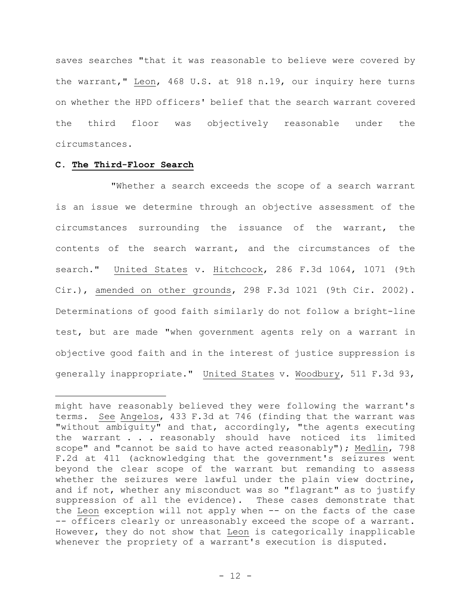saves searches "that it was reasonable to believe were covered by the warrant," Leon, 468 U.S. at 918 n.19, our inquiry here turns on whether the HPD officers' belief that the search warrant covered the third floor was objectively reasonable under the circumstances.

# **C. The Third-Floor Search**

"Whether a search exceeds the scope of a search warrant is an issue we determine through an objective assessment of the circumstances surrounding the issuance of the warrant, the contents of the search warrant, and the circumstances of the search." United States v. Hitchcock, 286 F.3d 1064, 1071 (9th Cir.), amended on other grounds, 298 F.3d 1021 (9th Cir. 2002). Determinations of good faith similarly do not follow a bright-line test, but are made "when government agents rely on a warrant in objective good faith and in the interest of justice suppression is generally inappropriate." United States v. Woodbury, 511 F.3d 93,

might have reasonably believed they were following the warrant's terms. See Angelos, 433 F.3d at 746 (finding that the warrant was "without ambiguity" and that, accordingly, "the agents executing the warrant . . . reasonably should have noticed its limited scope" and "cannot be said to have acted reasonably"); Medlin, 798 F.2d at 411 (acknowledging that the government's seizures went beyond the clear scope of the warrant but remanding to assess whether the seizures were lawful under the plain view doctrine, and if not, whether any misconduct was so "flagrant" as to justify suppression of all the evidence). These cases demonstrate that the Leon exception will not apply when -- on the facts of the case -- officers clearly or unreasonably exceed the scope of a warrant. However, they do not show that Leon is categorically inapplicable whenever the propriety of a warrant's execution is disputed.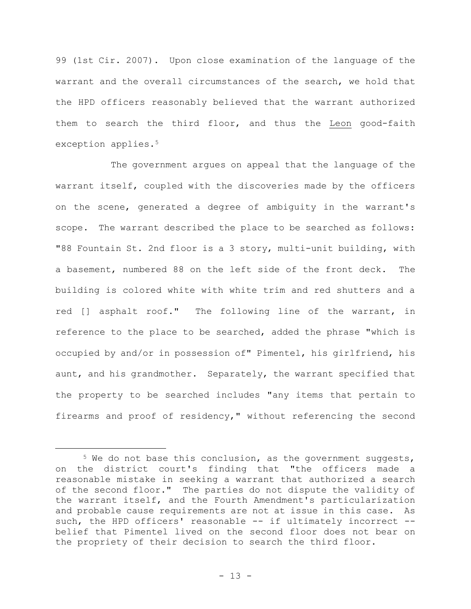99 (1st Cir. 2007). Upon close examination of the language of the warrant and the overall circumstances of the search, we hold that the HPD officers reasonably believed that the warrant authorized them to search the third floor, and thus the Leon good-faith exception applies.<sup>5</sup>

The government argues on appeal that the language of the warrant itself, coupled with the discoveries made by the officers on the scene, generated a degree of ambiguity in the warrant's scope. The warrant described the place to be searched as follows: "88 Fountain St. 2nd floor is a 3 story, multi-unit building, with a basement, numbered 88 on the left side of the front deck. The building is colored white with white trim and red shutters and a red [] asphalt roof." The following line of the warrant, in reference to the place to be searched, added the phrase "which is occupied by and/or in possession of" Pimentel, his girlfriend, his aunt, and his grandmother. Separately, the warrant specified that the property to be searched includes "any items that pertain to firearms and proof of residency," without referencing the second

<sup>&</sup>lt;sup>5</sup> We do not base this conclusion, as the government suggests, on the district court's finding that "the officers made a reasonable mistake in seeking a warrant that authorized a search of the second floor." The parties do not dispute the validity of the warrant itself, and the Fourth Amendment's particularization and probable cause requirements are not at issue in this case. As such, the HPD officers' reasonable -- if ultimately incorrect -belief that Pimentel lived on the second floor does not bear on the propriety of their decision to search the third floor.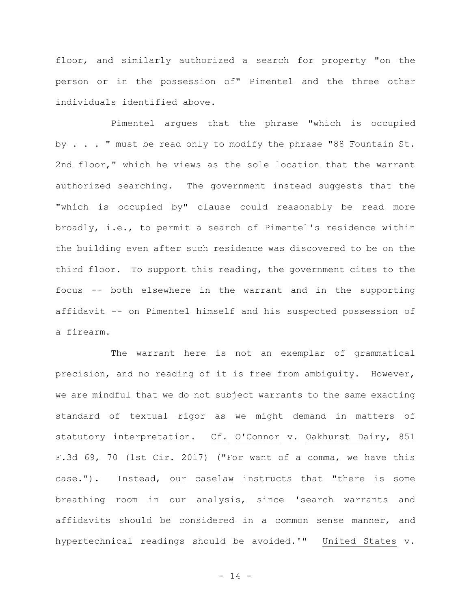floor, and similarly authorized a search for property "on the person or in the possession of" Pimentel and the three other individuals identified above.

Pimentel argues that the phrase "which is occupied by . . . " must be read only to modify the phrase "88 Fountain St. 2nd floor," which he views as the sole location that the warrant authorized searching. The government instead suggests that the "which is occupied by" clause could reasonably be read more broadly, i.e., to permit a search of Pimentel's residence within the building even after such residence was discovered to be on the third floor. To support this reading, the government cites to the focus -- both elsewhere in the warrant and in the supporting affidavit -- on Pimentel himself and his suspected possession of a firearm.

The warrant here is not an exemplar of grammatical precision, and no reading of it is free from ambiguity. However, we are mindful that we do not subject warrants to the same exacting standard of textual rigor as we might demand in matters of statutory interpretation. Cf. O'Connor v. Oakhurst Dairy, 851 F.3d 69, 70 (1st Cir. 2017) ("For want of a comma, we have this case."). Instead, our caselaw instructs that "there is some breathing room in our analysis, since 'search warrants and affidavits should be considered in a common sense manner, and hypertechnical readings should be avoided.'" United States v.

- 14 -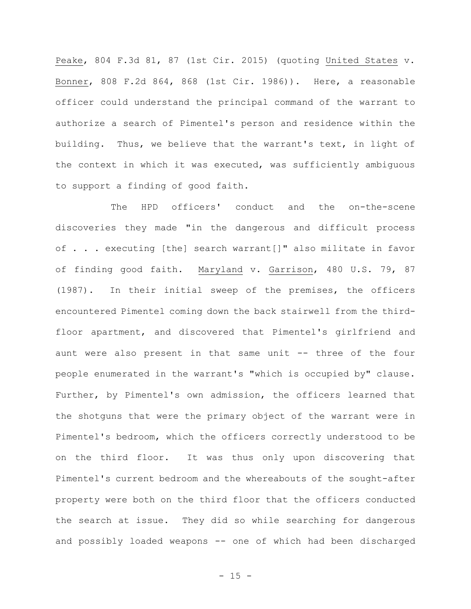Peake, 804 F.3d 81, 87 (1st Cir. 2015) (quoting United States v. Bonner, 808 F.2d 864, 868 (1st Cir. 1986)). Here, a reasonable officer could understand the principal command of the warrant to authorize a search of Pimentel's person and residence within the building. Thus, we believe that the warrant's text, in light of the context in which it was executed, was sufficiently ambiguous to support a finding of good faith.

The HPD officers' conduct and the on-the-scene discoveries they made "in the dangerous and difficult process of . . . executing [the] search warrant[]" also militate in favor of finding good faith. Maryland v. Garrison, 480 U.S. 79, 87 (1987). In their initial sweep of the premises, the officers encountered Pimentel coming down the back stairwell from the thirdfloor apartment, and discovered that Pimentel's girlfriend and aunt were also present in that same unit -- three of the four people enumerated in the warrant's "which is occupied by" clause. Further, by Pimentel's own admission, the officers learned that the shotguns that were the primary object of the warrant were in Pimentel's bedroom, which the officers correctly understood to be on the third floor.It was thus only upon discovering that Pimentel's current bedroom and the whereabouts of the sought-after property were both on the third floor that the officers conducted the search at issue. They did so while searching for dangerous and possibly loaded weapons -- one of which had been discharged

 $- 15 -$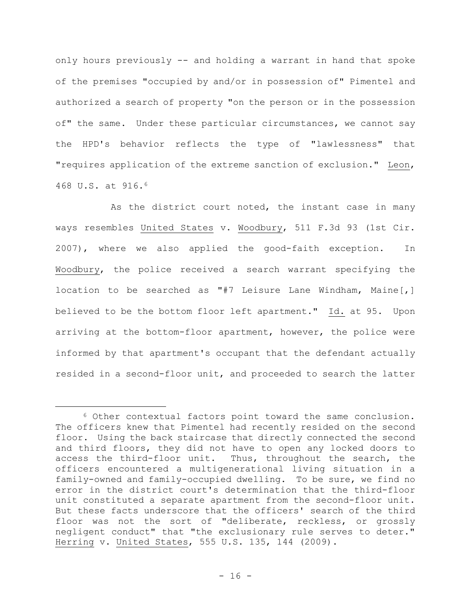only hours previously -- and holding a warrant in hand that spoke of the premises "occupied by and/or in possession of" Pimentel and authorized a search of property "on the person or in the possession of" the same. Under these particular circumstances, we cannot say the HPD's behavior reflects the type of "lawlessness" that "requires application of the extreme sanction of exclusion." Leon, 468 U.S. at 916.<sup>6</sup>

As the district court noted, the instant case in many ways resembles United States v. Woodbury, 511 F.3d 93 (1st Cir. 2007), where we also applied the good-faith exception. In Woodbury, the police received a search warrant specifying the location to be searched as "#7 Leisure Lane Windham, Maine[,] believed to be the bottom floor left apartment." Id. at 95. Upon arriving at the bottom-floor apartment, however, the police were informed by that apartment's occupant that the defendant actually resided in a second-floor unit, and proceeded to search the latter

<sup>6</sup> Other contextual factors point toward the same conclusion. The officers knew that Pimentel had recently resided on the second floor. Using the back staircase that directly connected the second and third floors, they did not have to open any locked doors to access the third-floor unit. Thus, throughout the search, the officers encountered a multigenerational living situation in a family-owned and family-occupied dwelling. To be sure, we find no error in the district court's determination that the third-floor unit constituted a separate apartment from the second-floor unit. But these facts underscore that the officers' search of the third floor was not the sort of "deliberate, reckless, or grossly negligent conduct" that "the exclusionary rule serves to deter." Herring v. United States, 555 U.S. 135, 144 (2009).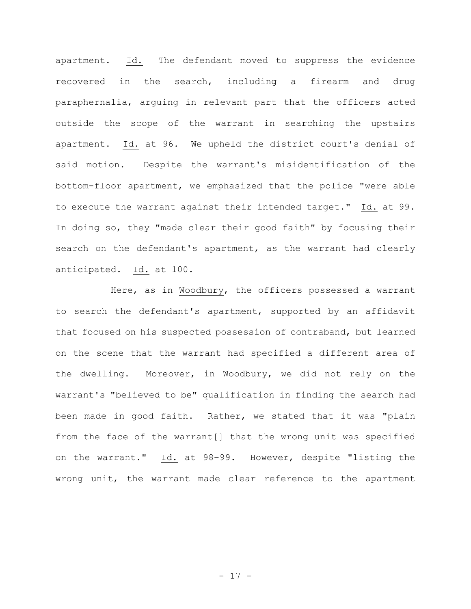apartment. Id. The defendant moved to suppress the evidence recovered in the search, including a firearm and drug paraphernalia, arguing in relevant part that the officers acted outside the scope of the warrant in searching the upstairs apartment. Id. at 96. We upheld the district court's denial of said motion. Despite the warrant's misidentification of the bottom-floor apartment, we emphasized that the police "were able to execute the warrant against their intended target." Id. at 99. In doing so, they "made clear their good faith" by focusing their search on the defendant's apartment, as the warrant had clearly anticipated. Id. at 100.

Here, as in Woodbury, the officers possessed a warrant to search the defendant's apartment, supported by an affidavit that focused on his suspected possession of contraband, but learned on the scene that the warrant had specified a different area of the dwelling. Moreover, in Woodbury, we did not rely on the warrant's "believed to be" qualification in finding the search had been made in good faith. Rather, we stated that it was "plain from the face of the warrant[] that the wrong unit was specified on the warrant." Id. at 98–99. However, despite "listing the wrong unit, the warrant made clear reference to the apartment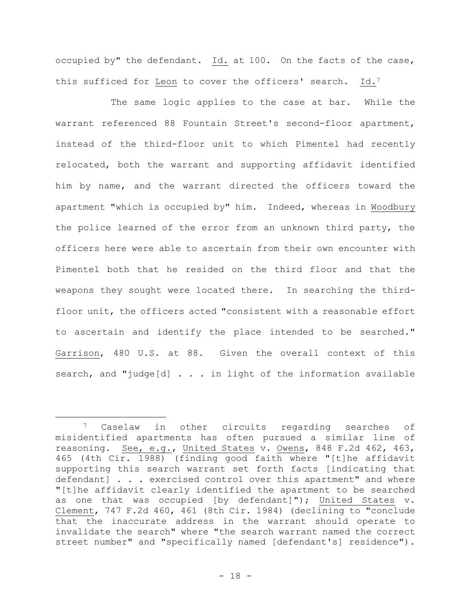occupied by" the defendant. Id. at 100. On the facts of the case, this sufficed for Leon to cover the officers' search. Id.<sup>7</sup>

The same logic applies to the case at bar. While the warrant referenced 88 Fountain Street's second-floor apartment, instead of the third-floor unit to which Pimentel had recently relocated, both the warrant and supporting affidavit identified him by name, and the warrant directed the officers toward the apartment "which is occupied by" him. Indeed, whereas in Woodbury the police learned of the error from an unknown third party, the officers here were able to ascertain from their own encounter with Pimentel both that he resided on the third floor and that the weapons they sought were located there. In searching the thirdfloor unit, the officers acted "consistent with a reasonable effort to ascertain and identify the place intended to be searched." Garrison, 480 U.S. at 88. Given the overall context of this search, and "judge[d] . . . in light of the information available

<sup>7</sup> Caselaw in other circuits regarding searches of misidentified apartments has often pursued a similar line of reasoning. See, e.g., United States v. Owens, 848 F.2d 462, 463, 465 (4th Cir. 1988) (finding good faith where "[t]he affidavit supporting this search warrant set forth facts [indicating that defendant] . . . exercised control over this apartment" and where "[t]he affidavit clearly identified the apartment to be searched as one that was occupied [by defendant]"); United States v. Clement, 747 F.2d 460, 461 (8th Cir. 1984) (declining to "conclude that the inaccurate address in the warrant should operate to invalidate the search" where "the search warrant named the correct street number" and "specifically named [defendant's] residence").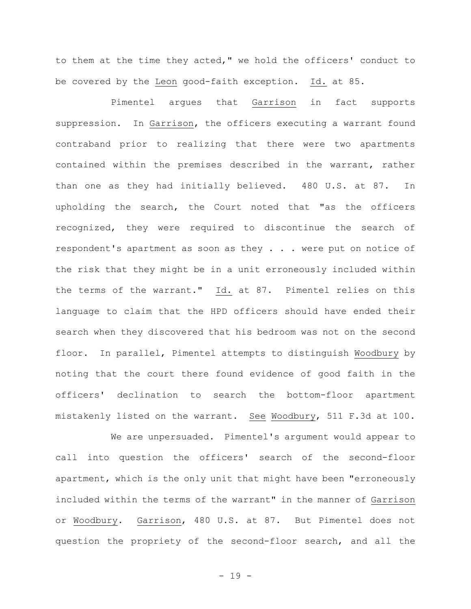to them at the time they acted," we hold the officers' conduct to be covered by the Leon good-faith exception. Id. at 85.

Pimentel argues that Garrison in fact supports suppression. In Garrison, the officers executing a warrant found contraband prior to realizing that there were two apartments contained within the premises described in the warrant, rather than one as they had initially believed. 480 U.S. at 87. In upholding the search, the Court noted that "as the officers recognized, they were required to discontinue the search of respondent's apartment as soon as they . . . were put on notice of the risk that they might be in a unit erroneously included within the terms of the warrant." Id. at 87. Pimentel relies on this language to claim that the HPD officers should have ended their search when they discovered that his bedroom was not on the second floor. In parallel, Pimentel attempts to distinguish Woodbury by noting that the court there found evidence of good faith in the officers' declination to search the bottom-floor apartment mistakenly listed on the warrant. See Woodbury, 511 F.3d at 100.

We are unpersuaded. Pimentel's argument would appear to call into question the officers' search of the second-floor apartment, which is the only unit that might have been "erroneously included within the terms of the warrant" in the manner of Garrison or Woodbury. Garrison, 480 U.S. at 87. But Pimentel does not question the propriety of the second-floor search, and all the

- 19 -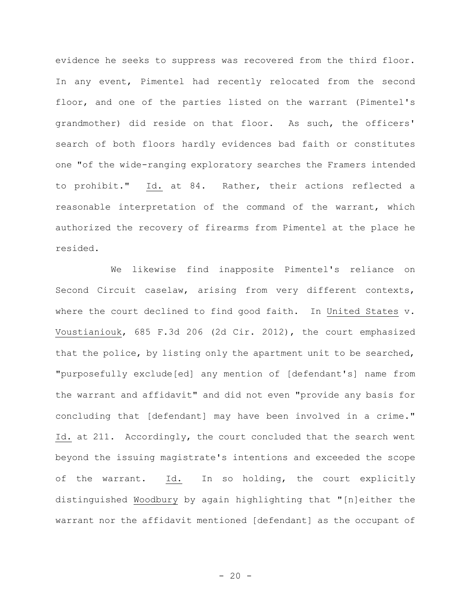evidence he seeks to suppress was recovered from the third floor. In any event, Pimentel had recently relocated from the second floor, and one of the parties listed on the warrant (Pimentel's grandmother) did reside on that floor. As such, the officers' search of both floors hardly evidences bad faith or constitutes one "of the wide-ranging exploratory searches the Framers intended to prohibit." Id. at 84. Rather, their actions reflected a reasonable interpretation of the command of the warrant, which authorized the recovery of firearms from Pimentel at the place he resided.

We likewise find inapposite Pimentel's reliance on Second Circuit caselaw, arising from very different contexts, where the court declined to find good faith. In United States v. Voustianiouk, 685 F.3d 206 (2d Cir. 2012), the court emphasized that the police, by listing only the apartment unit to be searched, "purposefully exclude[ed] any mention of [defendant's] name from the warrant and affidavit" and did not even "provide any basis for concluding that [defendant] may have been involved in a crime." Id. at 211. Accordingly, the court concluded that the search went beyond the issuing magistrate's intentions and exceeded the scope of the warrant. Id. In so holding, the court explicitly distinguished Woodbury by again highlighting that "[n]either the warrant nor the affidavit mentioned [defendant] as the occupant of

 $- 20 -$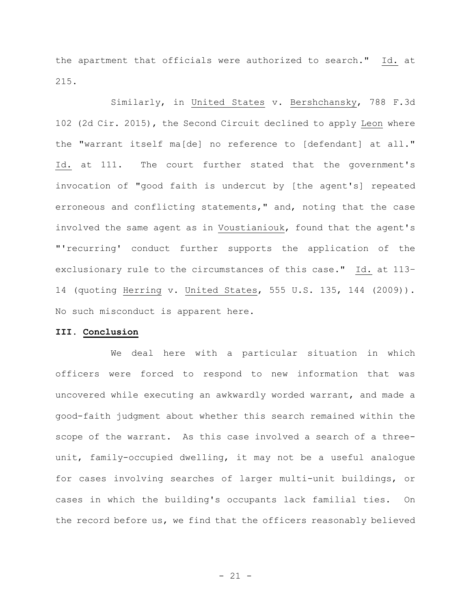the apartment that officials were authorized to search." Id. at 215.

Similarly, in United States v. Bershchansky, 788 F.3d 102 (2d Cir. 2015), the Second Circuit declined to apply Leon where the "warrant itself ma[de] no reference to [defendant] at all." Id. at 111. The court further stated that the government's invocation of "good faith is undercut by [the agent's] repeated erroneous and conflicting statements," and, noting that the case involved the same agent as in Voustianiouk, found that the agent's "'recurring' conduct further supports the application of the exclusionary rule to the circumstances of this case." Id. at 113– 14 (quoting Herring v. United States, 555 U.S. 135, 144 (2009)). No such misconduct is apparent here.

## **III. Conclusion**

We deal here with a particular situation in which officers were forced to respond to new information that was uncovered while executing an awkwardly worded warrant, and made a good-faith judgment about whether this search remained within the scope of the warrant. As this case involved a search of a threeunit, family-occupied dwelling, it may not be a useful analogue for cases involving searches of larger multi-unit buildings, or cases in which the building's occupants lack familial ties. On the record before us, we find that the officers reasonably believed

- 21 -